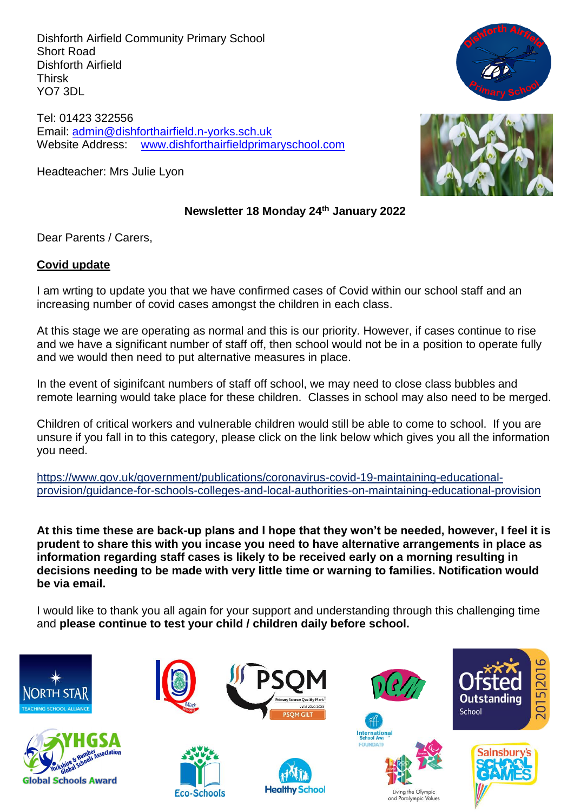Dishforth Airfield Community Primary School Short Road Dishforth Airfield Thirsk YO7 3DL

Tel: 01423 322556 Email: [admin@dishforthairfield.n-yorks.sch.uk](mailto:admin@dishforthairfield.n-yorks.sch.uk) Website Address: [www.dishforthairfieldprimaryschool.com](http://www.dishforthairfieldprimaryschool.com/)

Headteacher: Mrs Julie Lyon



### **Newsletter 18 Monday 24th January 2022**

Dear Parents / Carers,

#### **Covid update**

I am wrting to update you that we have confirmed cases of Covid within our school staff and an increasing number of covid cases amongst the children in each class.

At this stage we are operating as normal and this is our priority. However, if cases continue to rise and we have a significant number of staff off, then school would not be in a position to operate fully and we would then need to put alternative measures in place.

In the event of siginifcant numbers of staff off school, we may need to close class bubbles and remote learning would take place for these children. Classes in school may also need to be merged.

Children of critical workers and vulnerable children would still be able to come to school. If you are unsure if you fall in to this category, please click on the link below which gives you all the information you need.

https://www.gov.uk/government/publications/coronavirus-covid-19-maintaining-educationalprovision/guidance-for-schools-colleges-and-local-authorities-on-maintaining-educational-provision

**At this time these are back-up plans and I hope that they won't be needed, however, I feel it is prudent to share this with you incase you need to have alternative arrangements in place as information regarding staff cases is likely to be received early on a morning resulting in decisions needing to be made with very little time or warning to families. Notification would be via email.**

I would like to thank you all again for your support and understanding through this challenging time and **please continue to test your child / children daily before school.**

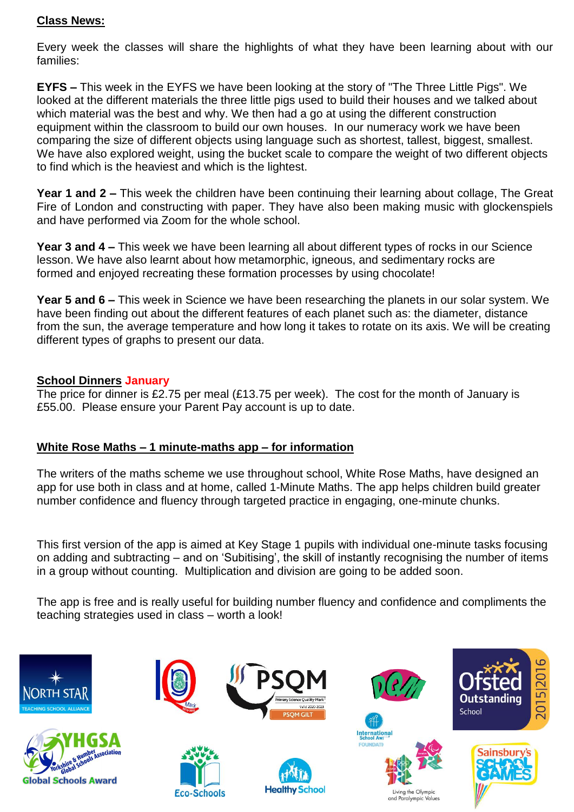### **Class News:**

Every week the classes will share the highlights of what they have been learning about with our families:

**EYFS –** This week in the EYFS we have been looking at the story of "The Three Little Pigs". We looked at the different materials the three little pigs used to build their houses and we talked about which material was the best and why. We then had a go at using the different construction equipment within the classroom to build our own houses. In our numeracy work we have been comparing the size of different objects using language such as shortest, tallest, biggest, smallest. We have also explored weight, using the bucket scale to compare the weight of two different objects to find which is the heaviest and which is the lightest.

**Year 1 and 2 –** This week the children have been continuing their learning about collage, The Great Fire of London and constructing with paper. They have also been making music with glockenspiels and have performed via Zoom for the whole school.

**Year 3 and 4 –** This week we have been learning all about different types of rocks in our Science lesson. We have also learnt about how metamorphic, igneous, and sedimentary rocks are formed and enjoyed recreating these formation processes by using chocolate!

**Year 5 and 6 –** This week in Science we have been researching the planets in our solar system. We have been finding out about the different features of each planet such as: the diameter, distance from the sun, the average temperature and how long it takes to rotate on its axis. We will be creating different types of graphs to present our data.

### **School Dinners January**

The price for dinner is £2.75 per meal (£13.75 per week). The cost for the month of January is £55.00. Please ensure your Parent Pay account is up to date.

### **White Rose Maths – 1 minute-maths app – for information**

The writers of the maths scheme we use throughout school, White Rose Maths, have designed an app for use both in class and at home, called 1-Minute Maths. The app helps children build greater number confidence and fluency through targeted practice in engaging, one-minute chunks.

This first version of the app is aimed at Key Stage 1 pupils with individual one-minute tasks focusing on adding and subtracting – and on 'Subitising', the skill of instantly recognising the number of items in a group without counting. Multiplication and division are going to be added soon.

The app is free and is really useful for building number fluency and confidence and compliments the teaching strategies used in class – worth a look!

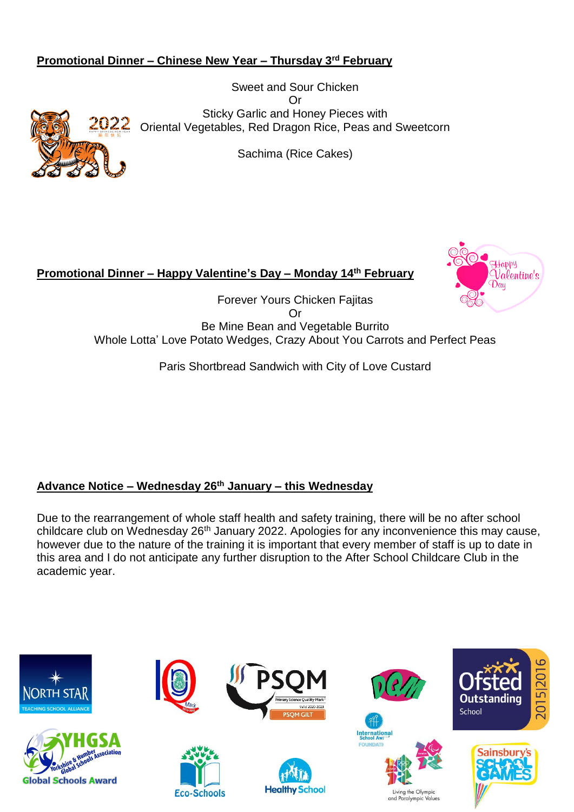# **Promotional Dinner – Chinese New Year – Thursday 3rd February**

Sweet and Sour Chicken Or Sticky Garlic and Honey Pieces with Oriental Vegetables, Red Dragon Rice, Peas and Sweetcorn

Sachima (Rice Cakes)

# **Promotional Dinner – Happy Valentine's Day – Monday 14th February**



Forever Yours Chicken Fajitas Or Be Mine Bean and Vegetable Burrito Whole Lotta' Love Potato Wedges, Crazy About You Carrots and Perfect Peas

Paris Shortbread Sandwich with City of Love Custard

# **Advance Notice – Wednesday 26th January – this Wednesday**

Due to the rearrangement of whole staff health and safety training, there will be no after school childcare club on Wednesday 26<sup>th</sup> January 2022. Apologies for any inconvenience this may cause, however due to the nature of the training it is important that every member of staff is up to date in this area and I do not anticipate any further disruption to the After School Childcare Club in the academic year.

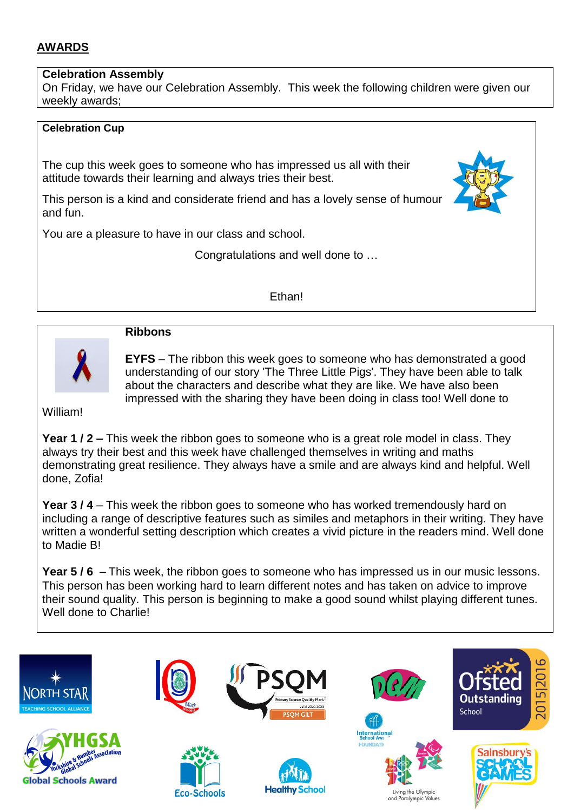# **AWARDS**

### **Celebration Assembly**

On Friday, we have our Celebration Assembly. This week the following children were given our weekly awards;

#### **Celebration Cup**

The cup this week goes to someone who has impressed us all with their attitude towards their learning and always tries their best.

This person is a kind and considerate friend and has a lovely sense of humour and fun.

You are a pleasure to have in our class and school.

Congratulations and well done to …

Ethan!



#### **Ribbons**

**EYFS** – The ribbon this week goes to someone who has demonstrated a good understanding of our story 'The Three Little Pigs'. They have been able to talk about the characters and describe what they are like. We have also been impressed with the sharing they have been doing in class too! Well done to

William!

**Year 1 / 2 –** This week the ribbon goes to someone who is a great role model in class. They always try their best and this week have challenged themselves in writing and maths demonstrating great resilience. They always have a smile and are always kind and helpful. Well done, Zofia!

**Year 3 / 4** – This week the ribbon goes to someone who has worked tremendously hard on including a range of descriptive features such as similes and metaphors in their writing. They have written a wonderful setting description which creates a vivid picture in the readers mind. Well done to Madie B!

**Year 5 / 6** – This week, the ribbon goes to someone who has impressed us in our music lessons. This person has been working hard to learn different notes and has taken on advice to improve their sound quality. This person is beginning to make a good sound whilst playing different tunes. Well done to Charlie!



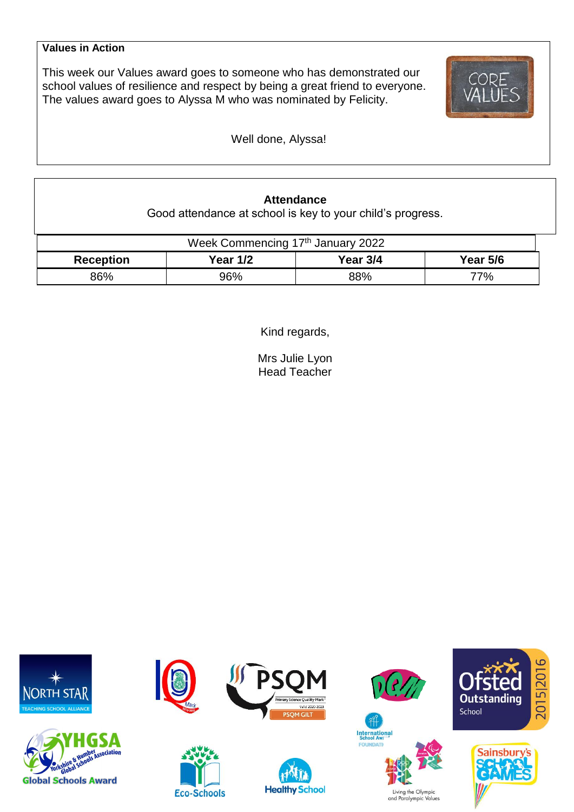#### **Values in Action**

This week our Values award goes to someone who has demonstrated our school values of resilience and respect by being a great friend to everyone. The values award goes to Alyssa M who was nominated by Felicity.



Well done, Alyssa!

# **Attendance**

Good attendance at school is key to your child's progress.

| Week Commencing 17th January 2022 |                 |          |                 |  |  |  |
|-----------------------------------|-----------------|----------|-----------------|--|--|--|
| <b>Reception</b>                  | <b>Year 1/2</b> | Year 3/4 | <b>Year 5/6</b> |  |  |  |
| 86%                               | 96%             | 88%      | 77%             |  |  |  |

Kind regards,

Mrs Julie Lyon Head Teacher